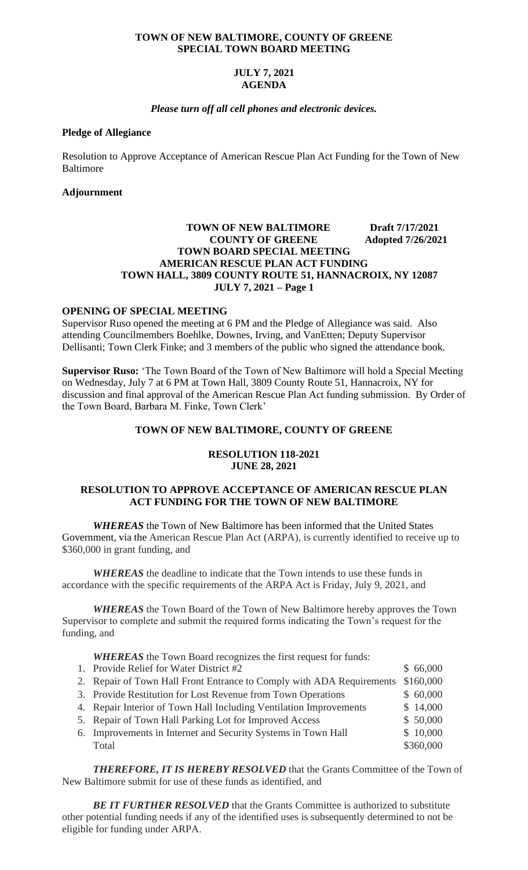#### **TOWN OF NEW BALTIMORE, COUNTY OF GREENE SPECIAL TOWN BOARD MEETING**

# **JULY 7, 2021 AGENDA**

## *Please turn off all cell phones and electronic devices.*

#### **Pledge of Allegiance**

Resolution to Approve Acceptance of American Rescue Plan Act Funding for the Town of New Baltimore

## **Adjournment**

# **TOWN OF NEW BALTIMORE Draft 7/17/2021 COUNTY OF GREENE** Adopted 7/26/2021 **TOWN BOARD SPECIAL MEETING AMERICAN RESCUE PLAN ACT FUNDING TOWN HALL, 3809 COUNTY ROUTE 51, HANNACROIX, NY 12087 JULY 7, 2021 – Page 1**

# **OPENING OF SPECIAL MEETING**

Supervisor Ruso opened the meeting at 6 PM and the Pledge of Allegiance was said. Also attending Councilmembers Boehlke, Downes, Irving, and VanEtten; Deputy Supervisor Dellisanti; Town Clerk Finke; and 3 members of the public who signed the attendance book.

**Supervisor Ruso:** 'The Town Board of the Town of New Baltimore will hold a Special Meeting on Wednesday, July 7 at 6 PM at Town Hall, 3809 County Route 51, Hannacroix, NY for discussion and final approval of the American Rescue Plan Act funding submission. By Order of the Town Board, Barbara M. Finke, Town Clerk'

### **TOWN OF NEW BALTIMORE, COUNTY OF GREENE**

### **RESOLUTION 118-2021 JUNE 28, 2021**

# **RESOLUTION TO APPROVE ACCEPTANCE OF AMERICAN RESCUE PLAN ACT FUNDING FOR THE TOWN OF NEW BALTIMORE**

 *WHEREAS* the Town of New Baltimore has been informed that the United States Government, via the American Rescue Plan Act (ARPA), is currently identified to receive up to \$360,000 in grant funding, and

*WHEREAS* the deadline to indicate that the Town intends to use these funds in accordance with the specific requirements of the ARPA Act is Friday, July 9, 2021, and

*WHEREAS* the Town Board of the Town of New Baltimore hereby approves the Town Supervisor to complete and submit the required forms indicating the Town's request for the funding, and

*WHEREAS* the Town Board recognizes the first request for funds:

- 1. Provide Relief for Water District #2 \$ 66,000
- 2. Repair of Town Hall Front Entrance to Comply with ADA Requirements \$160,000
- 3. Provide Restitution for Lost Revenue from Town Operations \$ 60,000
- 4. Repair Interior of Town Hall Including Ventilation Improvements  $\frac{$14,000}{9}$
- 5. Repair of Town Hall Parking Lot for Improved Access \$ 50,000
- 6. Improvements in Internet and Security Systems in Town Hall  $$10,000$ Total \$360,000

*THEREFORE, IT IS HEREBY RESOLVED* that the Grants Committee of the Town of New Baltimore submit for use of these funds as identified, and

**BE IT FURTHER RESOLVED** that the Grants Committee is authorized to substitute other potential funding needs if any of the identified uses is subsequently determined to not be eligible for funding under ARPA.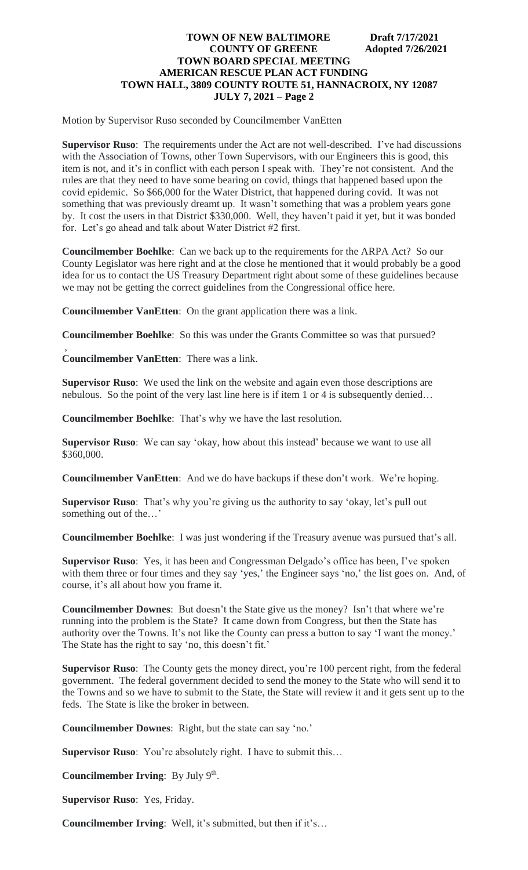Motion by Supervisor Ruso seconded by Councilmember VanEtten

**Supervisor Ruso**: The requirements under the Act are not well-described. I've had discussions with the Association of Towns, other Town Supervisors, with our Engineers this is good, this item is not, and it's in conflict with each person I speak with. They're not consistent. And the rules are that they need to have some bearing on covid, things that happened based upon the covid epidemic. So \$66,000 for the Water District, that happened during covid. It was not something that was previously dreamt up. It wasn't something that was a problem years gone by. It cost the users in that District \$330,000. Well, they haven't paid it yet, but it was bonded for. Let's go ahead and talk about Water District #2 first.

**Councilmember Boehlke**: Can we back up to the requirements for the ARPA Act? So our County Legislator was here right and at the close he mentioned that it would probably be a good idea for us to contact the US Treasury Department right about some of these guidelines because we may not be getting the correct guidelines from the Congressional office here.

**Councilmember VanEtten**: On the grant application there was a link.

**Councilmember Boehlke**: So this was under the Grants Committee so was that pursued?

**Councilmember VanEtten**: There was a link.

,

**Supervisor Ruso**: We used the link on the website and again even those descriptions are nebulous. So the point of the very last line here is if item 1 or 4 is subsequently denied…

**Councilmember Boehlke**: That's why we have the last resolution.

**Supervisor Ruso**: We can say 'okay, how about this instead' because we want to use all \$360,000.

**Councilmember VanEtten**: And we do have backups if these don't work. We're hoping.

**Supervisor Ruso**: That's why you're giving us the authority to say 'okay, let's pull out something out of the…'

**Councilmember Boehlke**: I was just wondering if the Treasury avenue was pursued that's all.

**Supervisor Ruso**: Yes, it has been and Congressman Delgado's office has been, I've spoken with them three or four times and they say 'yes,' the Engineer says 'no,' the list goes on. And, of course, it's all about how you frame it.

**Councilmember Downes**: But doesn't the State give us the money? Isn't that where we're running into the problem is the State? It came down from Congress, but then the State has authority over the Towns. It's not like the County can press a button to say 'I want the money.' The State has the right to say 'no, this doesn't fit.'

**Supervisor Ruso**: The County gets the money direct, you're 100 percent right, from the federal government. The federal government decided to send the money to the State who will send it to the Towns and so we have to submit to the State, the State will review it and it gets sent up to the feds. The State is like the broker in between.

**Councilmember Downes**: Right, but the state can say 'no.'

**Supervisor Ruso**: You're absolutely right. I have to submit this…

Councilmember Irving: By July 9<sup>th</sup>.

**Supervisor Ruso**: Yes, Friday.

**Councilmember Irving**: Well, it's submitted, but then if it's…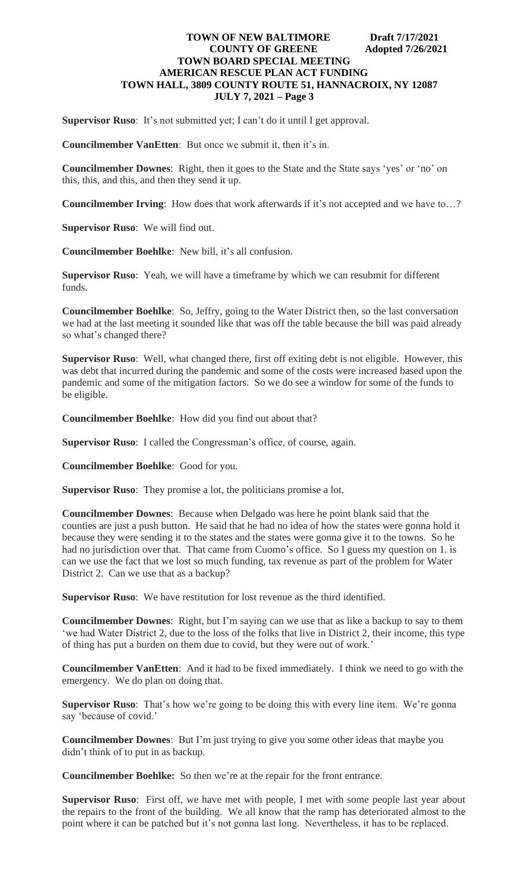**Supervisor Ruso**: It's not submitted yet; I can't do it until I get approval.

**Councilmember VanEtten**: But once we submit it, then it's in.

**Councilmember Downes**: Right, then it goes to the State and the State says 'yes' or 'no' on this, this, and this, and then they send it up.

**Councilmember Irving**: How does that work afterwards if it's not accepted and we have to…?

**Supervisor Ruso**: We will find out.

**Councilmember Boehlke**: New bill, it's all confusion.

**Supervisor Ruso**: Yeah, we will have a timeframe by which we can resubmit for different funds.

**Councilmember Boehlke**: So, Jeffry, going to the Water District then, so the last conversation we had at the last meeting it sounded like that was off the table because the bill was paid already so what's changed there?

**Supervisor Ruso**: Well, what changed there, first off exiting debt is not eligible. However, this was debt that incurred during the pandemic and some of the costs were increased based upon the pandemic and some of the mitigation factors. So we do see a window for some of the funds to be eligible.

**Councilmember Boehlke**: How did you find out about that?

**Supervisor Ruso**: I called the Congressman's office, of course, again.

**Councilmember Boehlke**: Good for you.

**Supervisor Ruso**: They promise a lot, the politicians promise a lot.

**Councilmember Downes**: Because when Delgado was here he point blank said that the counties are just a push button. He said that he had no idea of how the states were gonna hold it because they were sending it to the states and the states were gonna give it to the towns. So he had no jurisdiction over that. That came from Cuomo's office. So I guess my question on 1. is can we use the fact that we lost so much funding, tax revenue as part of the problem for Water District 2. Can we use that as a backup?

**Supervisor Ruso**: We have restitution for lost revenue as the third identified.

**Councilmember Downes**: Right, but I'm saying can we use that as like a backup to say to them 'we had Water District 2, due to the loss of the folks that live in District 2, their income, this type of thing has put a burden on them due to covid, but they were out of work.'

**Councilmember VanEtten**: And it had to be fixed immediately. I think we need to go with the emergency. We do plan on doing that.

**Supervisor Ruso**: That's how we're going to be doing this with every line item. We're gonna say 'because of covid.'

**Councilmember Downes**: But I'm just trying to give you some other ideas that maybe you didn't think of to put in as backup.

**Councilmember Boehlke:** So then we're at the repair for the front entrance.

**Supervisor Ruso**: First off, we have met with people, I met with some people last year about the repairs to the front of the building. We all know that the ramp has deteriorated almost to the point where it can be patched but it's not gonna last long. Nevertheless, it has to be replaced.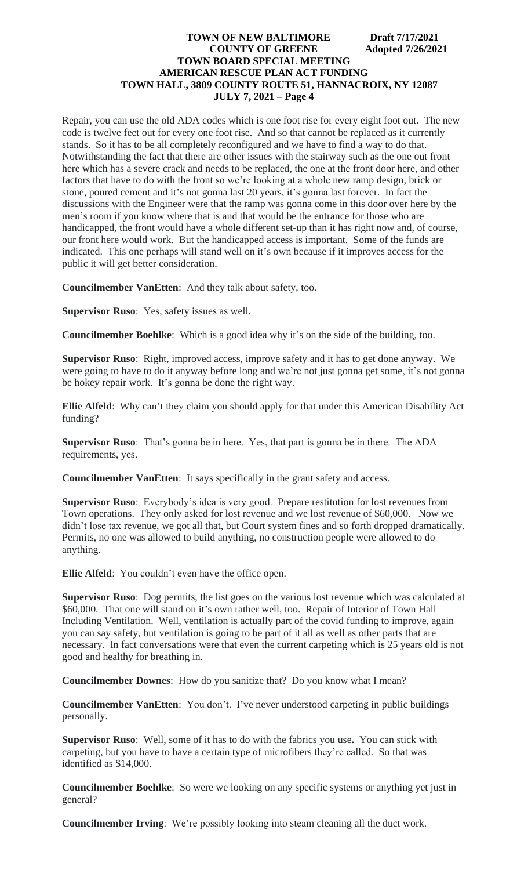Repair, you can use the old ADA codes which is one foot rise for every eight foot out. The new code is twelve feet out for every one foot rise. And so that cannot be replaced as it currently stands. So it has to be all completely reconfigured and we have to find a way to do that. Notwithstanding the fact that there are other issues with the stairway such as the one out front here which has a severe crack and needs to be replaced, the one at the front door here, and other factors that have to do with the front so we're looking at a whole new ramp design, brick or stone, poured cement and it's not gonna last 20 years, it's gonna last forever. In fact the discussions with the Engineer were that the ramp was gonna come in this door over here by the men's room if you know where that is and that would be the entrance for those who are handicapped, the front would have a whole different set-up than it has right now and, of course, our front here would work. But the handicapped access is important. Some of the funds are indicated. This one perhaps will stand well on it's own because if it improves access for the public it will get better consideration.

**Councilmember VanEtten**: And they talk about safety, too.

**Supervisor Ruso**: Yes, safety issues as well.

**Councilmember Boehlke**: Which is a good idea why it's on the side of the building, too.

**Supervisor Ruso**: Right, improved access, improve safety and it has to get done anyway. We were going to have to do it anyway before long and we're not just gonna get some, it's not gonna be hokey repair work. It's gonna be done the right way.

**Ellie Alfeld**: Why can't they claim you should apply for that under this American Disability Act funding?

**Supervisor Ruso**: That's gonna be in here. Yes, that part is gonna be in there. The ADA requirements, yes.

**Councilmember VanEtten**: It says specifically in the grant safety and access.

**Supervisor Ruso**: Everybody's idea is very good. Prepare restitution for lost revenues from Town operations. They only asked for lost revenue and we lost revenue of \$60,000. Now we didn't lose tax revenue, we got all that, but Court system fines and so forth dropped dramatically. Permits, no one was allowed to build anything, no construction people were allowed to do anything.

**Ellie Alfeld**: You couldn't even have the office open.

**Supervisor Ruso**: Dog permits, the list goes on the various lost revenue which was calculated at \$60,000. That one will stand on it's own rather well, too. Repair of Interior of Town Hall Including Ventilation. Well, ventilation is actually part of the covid funding to improve, again you can say safety, but ventilation is going to be part of it all as well as other parts that are necessary. In fact conversations were that even the current carpeting which is 25 years old is not good and healthy for breathing in.

**Councilmember Downes**: How do you sanitize that? Do you know what I mean?

**Councilmember VanEtten**: You don't. I've never understood carpeting in public buildings personally.

**Supervisor Ruso**: Well, some of it has to do with the fabrics you use**.** You can stick with carpeting, but you have to have a certain type of microfibers they're called. So that was identified as \$14,000.

**Councilmember Boehlke**: So were we looking on any specific systems or anything yet just in general?

**Councilmember Irving**: We're possibly looking into steam cleaning all the duct work.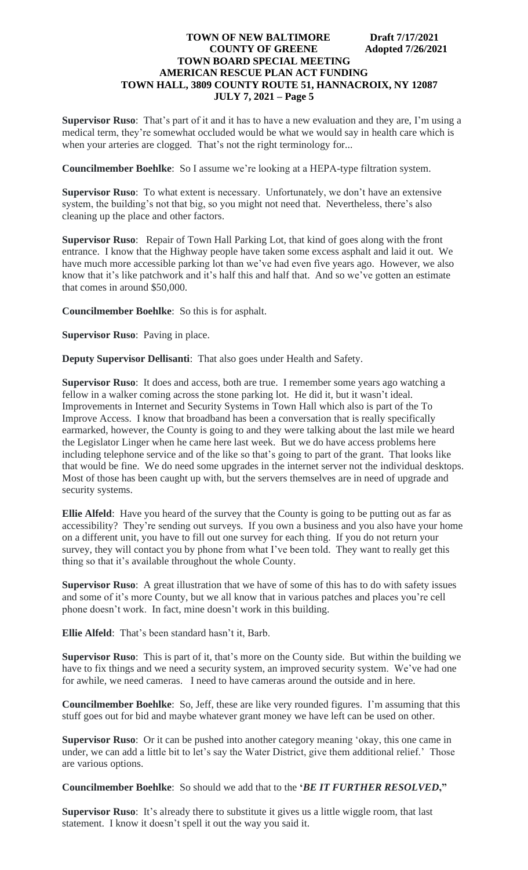**Supervisor Ruso**: That's part of it and it has to have a new evaluation and they are, I'm using a medical term, they're somewhat occluded would be what we would say in health care which is when your arteries are clogged. That's not the right terminology for...

**Councilmember Boehlke**: So I assume we're looking at a HEPA-type filtration system.

**Supervisor Ruso**: To what extent is necessary. Unfortunately, we don't have an extensive system, the building's not that big, so you might not need that. Nevertheless, there's also cleaning up the place and other factors.

**Supervisor Ruso**: Repair of Town Hall Parking Lot, that kind of goes along with the front entrance. I know that the Highway people have taken some excess asphalt and laid it out. We have much more accessible parking lot than we've had even five years ago. However, we also know that it's like patchwork and it's half this and half that. And so we've gotten an estimate that comes in around \$50,000.

**Councilmember Boehlke**: So this is for asphalt.

**Supervisor Ruso**: Paving in place.

**Deputy Supervisor Dellisanti**: That also goes under Health and Safety.

**Supervisor Ruso**: It does and access, both are true. I remember some years ago watching a fellow in a walker coming across the stone parking lot. He did it, but it wasn't ideal. Improvements in Internet and Security Systems in Town Hall which also is part of the To Improve Access. I know that broadband has been a conversation that is really specifically earmarked, however, the County is going to and they were talking about the last mile we heard the Legislator Linger when he came here last week. But we do have access problems here including telephone service and of the like so that's going to part of the grant. That looks like that would be fine. We do need some upgrades in the internet server not the individual desktops. Most of those has been caught up with, but the servers themselves are in need of upgrade and security systems.

**Ellie Alfeld**: Have you heard of the survey that the County is going to be putting out as far as accessibility? They're sending out surveys. If you own a business and you also have your home on a different unit, you have to fill out one survey for each thing. If you do not return your survey, they will contact you by phone from what I've been told. They want to really get this thing so that it's available throughout the whole County.

**Supervisor Ruso**: A great illustration that we have of some of this has to do with safety issues and some of it's more County, but we all know that in various patches and places you're cell phone doesn't work. In fact, mine doesn't work in this building.

**Ellie Alfeld**: That's been standard hasn't it, Barb.

**Supervisor Ruso**: This is part of it, that's more on the County side. But within the building we have to fix things and we need a security system, an improved security system. We've had one for awhile, we need cameras. I need to have cameras around the outside and in here.

**Councilmember Boehlke**: So, Jeff, these are like very rounded figures. I'm assuming that this stuff goes out for bid and maybe whatever grant money we have left can be used on other.

**Supervisor Ruso**: Or it can be pushed into another category meaning 'okay, this one came in under, we can add a little bit to let's say the Water District, give them additional relief.' Those are various options.

**Councilmember Boehlke**: So should we add that to the **'***BE IT FURTHER RESOLVED***,"**

**Supervisor Ruso**: It's already there to substitute it gives us a little wiggle room, that last statement. I know it doesn't spell it out the way you said it.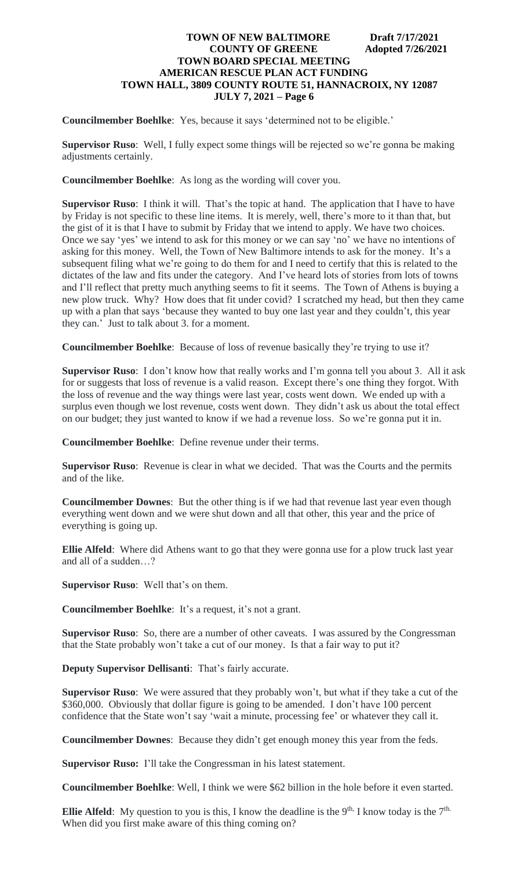**Councilmember Boehlke**: Yes, because it says 'determined not to be eligible.'

**Supervisor Ruso**: Well, I fully expect some things will be rejected so we're gonna be making adjustments certainly.

**Councilmember Boehlke**: As long as the wording will cover you.

**Supervisor Ruso**: I think it will. That's the topic at hand. The application that I have to have by Friday is not specific to these line items. It is merely, well, there's more to it than that, but the gist of it is that I have to submit by Friday that we intend to apply. We have two choices. Once we say 'yes' we intend to ask for this money or we can say 'no' we have no intentions of asking for this money. Well, the Town of New Baltimore intends to ask for the money. It's a subsequent filing what we're going to do them for and I need to certify that this is related to the dictates of the law and fits under the category. And I've heard lots of stories from lots of towns and I'll reflect that pretty much anything seems to fit it seems. The Town of Athens is buying a new plow truck. Why? How does that fit under covid? I scratched my head, but then they came up with a plan that says 'because they wanted to buy one last year and they couldn't, this year they can.' Just to talk about 3. for a moment.

**Councilmember Boehlke**: Because of loss of revenue basically they're trying to use it?

**Supervisor Ruso**: I don't know how that really works and I'm gonna tell you about 3. All it ask for or suggests that loss of revenue is a valid reason. Except there's one thing they forgot. With the loss of revenue and the way things were last year, costs went down. We ended up with a surplus even though we lost revenue, costs went down. They didn't ask us about the total effect on our budget; they just wanted to know if we had a revenue loss. So we're gonna put it in.

**Councilmember Boehlke**: Define revenue under their terms.

**Supervisor Ruso**: Revenue is clear in what we decided. That was the Courts and the permits and of the like.

**Councilmember Downes**: But the other thing is if we had that revenue last year even though everything went down and we were shut down and all that other, this year and the price of everything is going up.

**Ellie Alfeld**: Where did Athens want to go that they were gonna use for a plow truck last year and all of a sudden…?

**Supervisor Ruso**: Well that's on them.

**Councilmember Boehlke**: It's a request, it's not a grant.

**Supervisor Ruso**: So, there are a number of other caveats. I was assured by the Congressman that the State probably won't take a cut of our money. Is that a fair way to put it?

**Deputy Supervisor Dellisanti**: That's fairly accurate.

**Supervisor Ruso**: We were assured that they probably won't, but what if they take a cut of the \$360,000. Obviously that dollar figure is going to be amended. I don't have 100 percent confidence that the State won't say 'wait a minute, processing fee' or whatever they call it.

**Councilmember Downes**: Because they didn't get enough money this year from the feds.

**Supervisor Ruso:** I'll take the Congressman in his latest statement.

**Councilmember Boehlke**: Well, I think we were \$62 billion in the hole before it even started.

**Ellie Alfeld**: My question to you is this, I know the deadline is the 9<sup>th,</sup> I know today is the  $7<sup>th</sup>$ . When did you first make aware of this thing coming on?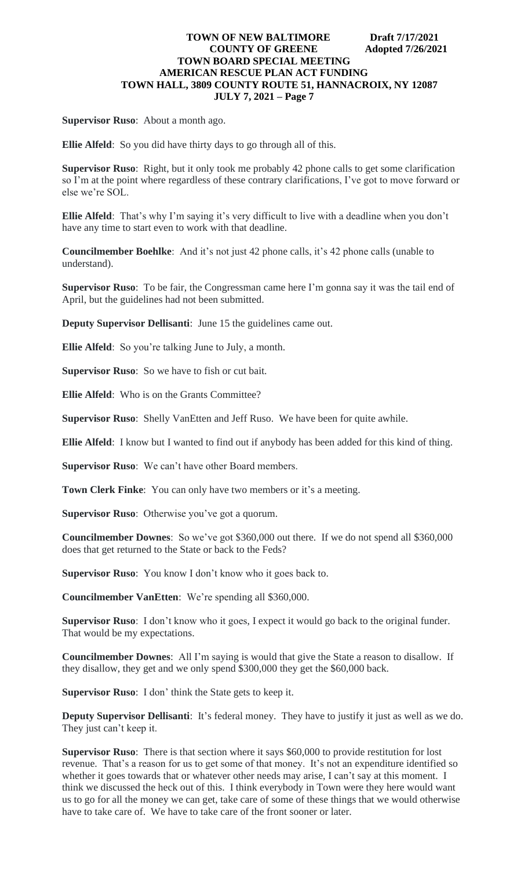**Supervisor Ruso**: About a month ago.

**Ellie Alfeld**: So you did have thirty days to go through all of this.

**Supervisor Ruso**: Right, but it only took me probably 42 phone calls to get some clarification so I'm at the point where regardless of these contrary clarifications, I've got to move forward or else we're SOL.

**Ellie Alfeld**: That's why I'm saying it's very difficult to live with a deadline when you don't have any time to start even to work with that deadline.

**Councilmember Boehlke**: And it's not just 42 phone calls, it's 42 phone calls (unable to understand).

**Supervisor Ruso**: To be fair, the Congressman came here I'm gonna say it was the tail end of April, but the guidelines had not been submitted.

**Deputy Supervisor Dellisanti**: June 15 the guidelines came out.

**Ellie Alfeld**: So you're talking June to July, a month.

**Supervisor Ruso**: So we have to fish or cut bait.

**Ellie Alfeld**: Who is on the Grants Committee?

**Supervisor Ruso**: Shelly VanEtten and Jeff Ruso. We have been for quite awhile.

**Ellie Alfeld**: I know but I wanted to find out if anybody has been added for this kind of thing.

**Supervisor Ruso**: We can't have other Board members.

**Town Clerk Finke:** You can only have two members or it's a meeting.

**Supervisor Ruso**: Otherwise you've got a quorum.

**Councilmember Downes**: So we've got \$360,000 out there. If we do not spend all \$360,000 does that get returned to the State or back to the Feds?

**Supervisor Ruso**: You know I don't know who it goes back to.

**Councilmember VanEtten**: We're spending all \$360,000.

**Supervisor Ruso**: I don't know who it goes, I expect it would go back to the original funder. That would be my expectations.

**Councilmember Downes**: All I'm saying is would that give the State a reason to disallow. If they disallow, they get and we only spend \$300,000 they get the \$60,000 back.

**Supervisor Ruso**: I don' think the State gets to keep it.

**Deputy Supervisor Dellisanti**: It's federal money. They have to justify it just as well as we do. They just can't keep it.

**Supervisor Ruso**: There is that section where it says \$60,000 to provide restitution for lost revenue. That's a reason for us to get some of that money. It's not an expenditure identified so whether it goes towards that or whatever other needs may arise, I can't say at this moment. I think we discussed the heck out of this. I think everybody in Town were they here would want us to go for all the money we can get, take care of some of these things that we would otherwise have to take care of.We have to take care of the front sooner or later.